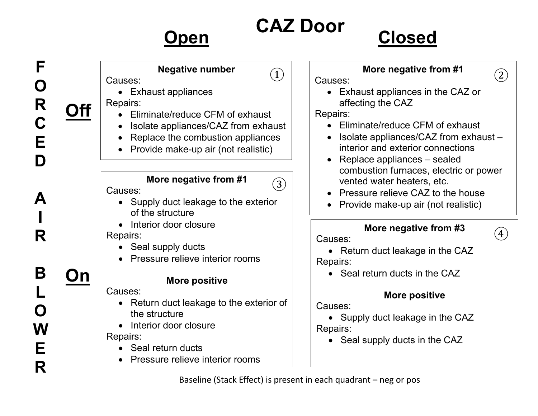## **Open**

**F**

**O**

**R**

**C**

**E**

**D**

**A**

**I**

**R**

**B**

**L**

**O**

**W**

**E**

**R**

# **CAZ Door Closed**

 $\left( 4\right)$ 

### **More negative from #1** Causes: • Exhaust appliances in the CAZ or affecting the CAZ Repairs: • Eliminate/reduce CFM of exhaust • Isolate appliances/CAZ from exhaust – interior and exterior connections • Replace appliances – sealed combustion furnaces, electric or power vented water heaters, etc. • Pressure relieve CAZ to the house • Provide make-up air (not realistic) **More negative from #3** Causes: • Return duct leakage in the CAZ Repairs: • Seal return ducts in the CAZ **More positive** Causes: • Supply duct leakage in the CAZ Repairs: • Seal supply ducts in the CAZ **Negative number** Causes: • Exhaust appliances Repairs: • Eliminate/reduce CFM of exhaust • Isolate appliances/CAZ from exhaust • Replace the combustion appliances • Provide make-up air (not realistic) **More negative from #1** Causes: • Supply duct leakage to the exterior of the structure • Interior door closure Repairs: • Seal supply ducts • Pressure relieve interior rooms **More positive** Causes: • Return duct leakage to the exterior of the structure • Interior door closure Repairs: • Seal return ducts • Pressure relieve interior rooms **Off On**  $\left\vert \bigcup\right\vert$   $\left\vert$  Causes:  $\left\vert \right\vert$  (2)  $(3)$

Baseline (Stack Effect) is present in each quadrant – neg or pos